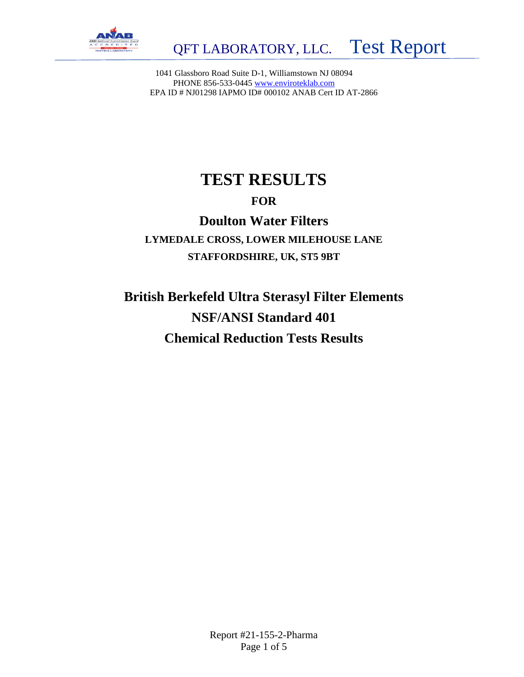

1041 Glassboro Road Suite D-1, Williamstown NJ 08094 PHONE 856-533-0445 [www.enviroteklab.com](http://www.enviroteklab.com/) EPA ID # NJ01298 IAPMO ID# 000102 ANAB Cert ID AT-2866

## **TEST RESULTS**

### **FOR**

## **Doulton Water Filters LYMEDALE CROSS, LOWER MILEHOUSE LANE STAFFORDSHIRE, UK, ST5 9BT**

**British Berkefeld Ultra Sterasyl Filter Elements NSF/ANSI Standard 401 Chemical Reduction Tests Results**

> Report #21-155-2-Pharma Page 1 of 5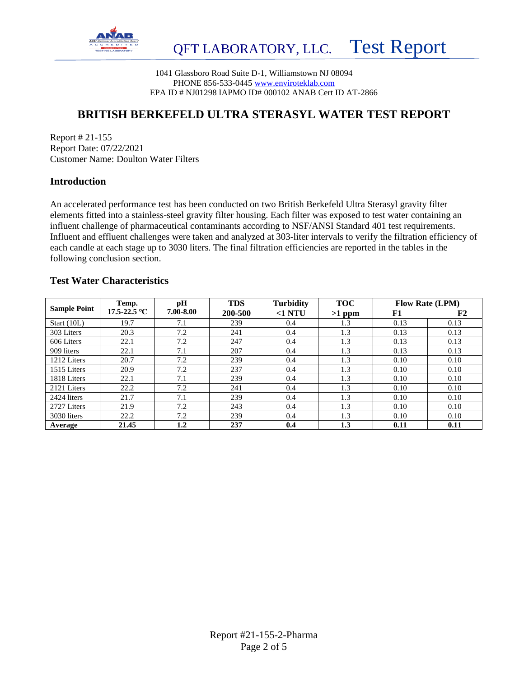

1041 Glassboro Road Suite D-1, Williamstown NJ 08094 PHONE 856-533-0445 [www.enviroteklab.com](http://www.enviroteklab.com/) EPA ID # NJ01298 IAPMO ID# 000102 ANAB Cert ID AT-2866

### **BRITISH BERKEFELD ULTRA STERASYL WATER TEST REPORT**

Report # 21-155 Report Date: 07/22/2021 Customer Name: Doulton Water Filters

#### **Introduction**

An accelerated performance test has been conducted on two British Berkefeld Ultra Sterasyl gravity filter elements fitted into a stainless-steel gravity filter housing. Each filter was exposed to test water containing an influent challenge of pharmaceutical contaminants according to NSF/ANSI Standard 401 test requirements. Influent and effluent challenges were taken and analyzed at 303-liter intervals to verify the filtration efficiency of each candle at each stage up to 3030 liters. The final filtration efficiencies are reported in the tables in the following conclusion section.

#### **Test Water Characteristics**

| <b>Sample Point</b> | Temp.        | pH        | <b>TDS</b> | <b>Turbidity</b> | <b>TOC</b> | <b>Flow Rate (LPM)</b> |      |  |
|---------------------|--------------|-----------|------------|------------------|------------|------------------------|------|--|
|                     | 17.5-22.5 °C | 7.00-8.00 | 200-500    | $<$ 1 NTU        | $>1$ ppm   | F1                     | F2   |  |
| Start $(10L)$       | 19.7         | 7.1       | 239        | 0.4              | 1.3        | 0.13                   | 0.13 |  |
| 303 Liters          | 20.3         | 7.2       | 241        | 0.4              | 1.3        | 0.13                   | 0.13 |  |
| 606 Liters          | 22.1         | 7.2       | 247        | 0.4              | 1.3        | 0.13                   | 0.13 |  |
| 909 liters          | 22.1         | 7.1       | 207        | 0.4              | 1.3        | 0.13                   | 0.13 |  |
| 1212 Liters         | 20.7         | 7.2       | 239        | 0.4              | 1.3        | 0.10                   | 0.10 |  |
| 1515 Liters         | 20.9         | 7.2       | 237        | 0.4              | 1.3        | 0.10                   | 0.10 |  |
| 1818 Liters         | 22.1         | 7.1       | 239        | 0.4              | 1.3        | 0.10                   | 0.10 |  |
| 2121 Liters         | 22.2         | 7.2       | 241        | 0.4              | 1.3        | 0.10                   | 0.10 |  |
| 2424 liters         | 21.7         | 7.1       | 239        | 0.4              | 1.3        | 0.10                   | 0.10 |  |
| 2727 Liters         | 21.9         | 7.2       | 243        | 0.4              | 1.3        | 0.10                   | 0.10 |  |
| 3030 liters         | 22.2         | 7.2       | 239        | 0.4              | 1.3        | 0.10                   | 0.10 |  |
| Average             | 21.45        | $1.2\,$   | 237        | 0.4              | 1.3        | 0.11                   | 0.11 |  |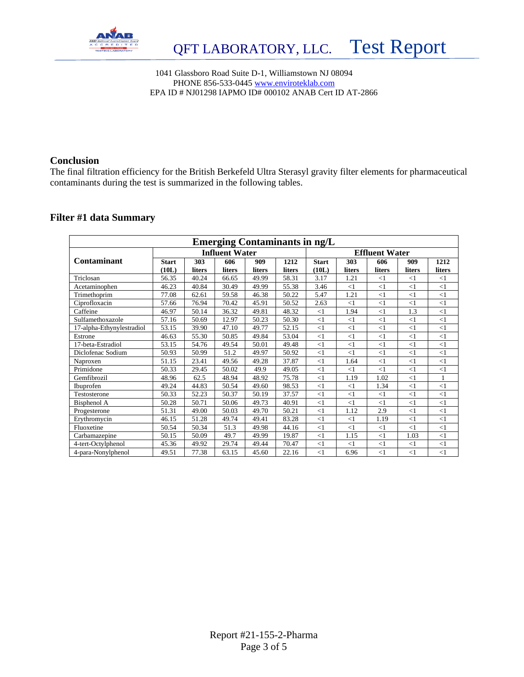

1041 Glassboro Road Suite D-1, Williamstown NJ 08094 PHONE 856-533-0445 [www.enviroteklab.com](http://www.enviroteklab.com/) EPA ID # NJ01298 IAPMO ID# 000102 ANAB Cert ID AT-2866

#### **Conclusion**

The final filtration efficiency for the British Berkefeld Ultra Sterasyl gravity filter elements for pharmaceutical contaminants during the test is summarized in the following tables.

#### **Filter #1 data Summary**

| <b>Emerging Contaminants in ng/L</b> |              |        |                       |        |                       |              |          |          |          |              |  |  |
|--------------------------------------|--------------|--------|-----------------------|--------|-----------------------|--------------|----------|----------|----------|--------------|--|--|
|                                      |              |        | <b>Influent Water</b> |        | <b>Effluent Water</b> |              |          |          |          |              |  |  |
| Contaminant                          | <b>Start</b> | 303    | 606                   | 909    | 1212                  | <b>Start</b> | 303      | 606      | 909      | 1212         |  |  |
|                                      | (10L)        | liters | liters                | liters | liters                | (10L)        | liters   | liters   | liters   | liters       |  |  |
| Triclosan                            | 56.35        | 40.24  | 66.65                 | 49.99  | 58.31                 | 3.17         | 1.21     | $\leq$ 1 | <1       | <1           |  |  |
| Acetaminophen                        | 46.23        | 40.84  | 30.49                 | 49.99  | 55.38                 | 3.46         | $<$ 1    | <1       | $\leq$ 1 | <1           |  |  |
| Trimethoprim                         | 77.08        | 62.61  | 59.58                 | 46.38  | 50.22                 | 5.47         | 1.21     | <1       | <1       | <1           |  |  |
| Ciprofloxacin                        | 57.66        | 76.94  | 70.42                 | 45.91  | 50.52                 | 2.63         | $<$ 1    | <1       | $\leq$ 1 | $\leq$ 1     |  |  |
| Caffeine                             | 46.97        | 50.14  | 36.32                 | 49.81  | 48.32                 | <1           | 1.94     | <1       | 1.3      | $\leq$ 1     |  |  |
| Sulfamethoxazole                     | 57.16        | 50.69  | 12.97                 | 50.23  | 50.30                 | $<$ 1        | $<$ 1    | <1       | <1       | $\leq$ 1     |  |  |
| 17-alpha-Ethynylestradiol            | 53.15        | 39.90  | 47.10                 | 49.77  | 52.15                 | $<$ 1        | $<$ 1    | <1       | $\leq$ 1 | $\leq$ 1     |  |  |
| Estrone                              | 46.63        | 55.30  | 50.85                 | 49.84  | 53.04                 | $<$ 1        | <1       | <1       | <1       | $\leq$ 1     |  |  |
| 17-beta-Estradiol                    | 53.15        | 54.76  | 49.54                 | 50.01  | 49.48                 | $\leq$ 1     | $\leq$ 1 | <1       | <1       | $\leq$ 1     |  |  |
| Diclofenac Sodium                    | 50.93        | 50.99  | 51.2                  | 49.97  | 50.92                 | $\leq$ 1     | $\leq$ 1 | $\leq$ 1 | $\leq$ 1 | $\leq$ 1     |  |  |
| Naproxen                             | 51.15        | 23.41  | 49.56                 | 49.28  | 37.87                 | $<$ 1        | 1.64     | <1       | <1       | <1           |  |  |
| Primidone                            | 50.33        | 29.45  | 50.02                 | 49.9   | 49.05                 | $\leq$ 1     | $<$ 1    | <1       | <1       | $\leq$ 1     |  |  |
| Gemfibrozil                          | 48.96        | 62.5   | 48.94                 | 48.92  | 75.78                 | $<$ 1        | 1.19     | 1.02     | $\leq$ 1 | $\mathbf{1}$ |  |  |
| <b>Ibuprofen</b>                     | 49.24        | 44.83  | 50.54                 | 49.60  | 98.53                 | $\leq$ 1     | <1       | 1.34     | $\leq$ 1 | $\leq$ 1     |  |  |
| Testosterone                         | 50.33        | 52.23  | 50.37                 | 50.19  | 37.57                 | <1           | <1       | <1       | $\leq$ 1 | $\leq$ 1     |  |  |
| Bisphenol A                          | 50.28        | 50.71  | 50.06                 | 49.73  | 40.91                 | $\leq$ 1     | <1       | $<$ 1    | <1       | <1           |  |  |
| Progesterone                         | 51.31        | 49.00  | 50.03                 | 49.70  | 50.21                 | $<$ 1        | 1.12     | 2.9      | $\leq$ 1 | <1           |  |  |
| Erythromycin                         | 46.15        | 51.28  | 49.74                 | 49.41  | 83.28                 | $<$ 1        | $<$ 1    | 1.19     | <1       | <1           |  |  |
| Fluoxetine                           | 50.54        | 50.34  | 51.3                  | 49.98  | 44.16                 | $\leq$ 1     | $\leq$ 1 | $\leq$ 1 | $\leq$ 1 | <1           |  |  |
| Carbamazepine                        | 50.15        | 50.09  | 49.7                  | 49.99  | 19.87                 | $<$ 1        | 1.15     | <1       | 1.03     | $\leq$ 1     |  |  |
| 4-tert-Octylphenol                   | 45.36        | 49.92  | 29.74                 | 49.44  | 70.47                 | $<$ 1        | $<$ 1    | $\leq$ 1 | $<$ 1    | $\leq$ 1     |  |  |
| 4-para-Nonylphenol                   | 49.51        | 77.38  | 63.15                 | 45.60  | 22.16                 | $\leq$ 1     | 6.96     | <1       | $\leq$ 1 | $\leq$ 1     |  |  |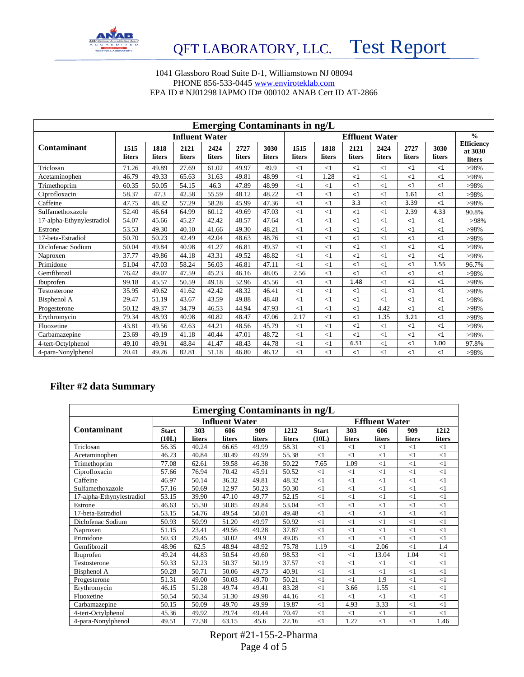

#### 1041 Glassboro Road Suite D-1, Williamstown NJ 08094 PHONE 856-533-0445 [www.enviroteklab.com](http://www.enviroteklab.com/) EPA ID # NJ01298 IAPMO ID# 000102 ANAB Cert ID AT-2866

| <b>Emerging Contaminants in ng/L</b> |                       |                |                |                |                |                |                |                       |                |                |                |                |                                        |  |
|--------------------------------------|-----------------------|----------------|----------------|----------------|----------------|----------------|----------------|-----------------------|----------------|----------------|----------------|----------------|----------------------------------------|--|
|                                      | <b>Influent Water</b> |                |                |                |                |                |                | <b>Effluent Water</b> |                |                |                |                |                                        |  |
| <b>Contaminant</b>                   | 1515<br>liters        | 1818<br>liters | 2121<br>liters | 2424<br>liters | 2727<br>liters | 3030<br>liters | 1515<br>liters | 1818<br>liters        | 2121<br>liters | 2424<br>liters | 2727<br>liters | 3030<br>liters | <b>Efficiency</b><br>at 3030<br>liters |  |
| Triclosan                            | 71.26                 | 49.89          | 27.69          | 61.02          | 49.97          | 49.9           | $\leq$ 1       | $<$ 1                 | <1             | <1             | <1             | <1             | $>98\%$                                |  |
| Acetaminophen                        | 46.79                 | 49.33          | 65.63          | 31.63          | 49.81          | 48.99          | <1             | 1.28                  | <1             | $<$ 1          | $<$ 1          | <1             | $>98\%$                                |  |
| Trimethoprim                         | 60.35                 | 50.05          | 54.15          | 46.3           | 47.89          | 48.99          | <1             | $<$ 1                 | $\leq$ 1       | $\leq$ 1       | $<$ 1          | <1             | $>98\%$                                |  |
| Ciprofloxacin                        | 58.37                 | 47.3           | 42.58          | 55.59          | 48.12          | 48.22          | $\leq$ 1       | $\leq$ 1              | <1             | <1             | 1.61           | <1             | $>98\%$                                |  |
| Caffeine                             | 47.75                 | 48.32          | 57.29          | 58.28          | 45.99          | 47.36          | $\leq$ 1       | $<$ 1                 | 3.3            | <1             | 3.39           | <1             | >98%                                   |  |
| Sulfamethoxazole                     | 52.40                 | 46.64          | 64.99          | 60.12          | 49.69          | 47.03          | <1             | $\leq$ 1              | $\leq$ 1       | $\leq$ 1       | 2.39           | 4.33           | 90.8%                                  |  |
| 17-alpha-Ethynylestradiol            | 54.07                 | 45.66          | 45.27          | 42.42          | 48.57          | 47.64          | <1             | $<$ 1                 | $\leq$ 1       | $<$ 1          | $<$ 1          | <1             | >98%                                   |  |
| Estrone                              | 53.53                 | 49.30          | 40.10          | 41.66          | 49.30          | 48.21          | $\leq$ 1       | $\lt 1$               | <1             | <1             | $<$ 1          | <1             | >98%                                   |  |
| 17-beta-Estradiol                    | 50.70                 | 50.23          | 42.49          | 42.04          | 48.63          | 48.76          | <1             | $\leq$ 1              | $\leq$ 1       | $<$ 1          | $<$ 1          | <1             | >98%                                   |  |
| Diclofenac Sodium                    | 50.04                 | 49.84          | 40.98          | 41.27          | 46.81          | 49.37          | <1             | $\leq$ 1              | $\leq$ 1       | <1             | $<$ 1          | <1             | $>98\%$                                |  |
| Naproxen                             | 37.77                 | 49.86          | 44.18          | 43.31          | 49.52          | 48.82          | <1             | $<$ 1                 | $\leq$ 1       | $\leq$ 1       | $<$ 1          | <1             | $>98\%$                                |  |
| Primidone                            | 51.04                 | 47.03          | 58.24          | 56.03          | 46.81          | 47.11          | $\leq$ 1       | <1                    | $\leq$ 1       | $<$ 1          | $<$ 1          | 1.55           | 96.7%                                  |  |
| Gemfibrozil                          | 76.42                 | 49.07          | 47.59          | 45.23          | 46.16          | 48.05          | 2.56           | $<$ 1                 | <1             | <1             | <1             | <1             | >98%                                   |  |
| Ibuprofen                            | 99.18                 | 45.57          | 50.59          | 49.18          | 52.96          | 45.56          | <1             | $\leq$ 1              | 1.48           | $<$ 1          | $\leq$ 1       | <1             | $>98\%$                                |  |
| Testosterone                         | 35.95                 | 49.62          | 41.62          | 42.42          | 48.32          | 46.41          | <1             | $\leq$ 1              | $<$ 1          | $<$ 1          | <1             | <1             | $>98\%$                                |  |
| Bisphenol A                          | 29.47                 | 51.19          | 43.67          | 43.59          | 49.88          | 48.48          | <1             | $<$ 1                 | <1             | $<$ 1          | <1             | <1             | >98%                                   |  |
| Progesterone                         | 50.12                 | 49.37          | 34.79          | 46.53          | 44.94          | 47.93          | $\leq$ 1       | <1                    | <1             | 4.42           | <1             | <1             | >98%                                   |  |
| Erythromycin                         | 79.34                 | 48.93          | 40.98          | 40.82          | 48.47          | 47.06          | 2.17           | $<$ 1                 | <1             | 1.35           | 3.21           | <1             | $>98\%$                                |  |
| Fluoxetine                           | 43.81                 | 49.56          | 42.63          | 44.21          | 48.56          | 45.79          | <1             | $\lt 1$               | $\leq$ 1       | $<$ 1          | <1             | <1             | $>98\%$                                |  |
| Carbamazepine                        | 23.69                 | 49.19          | 41.18          | 40.44          | 47.01          | 48.72          | <1             | $\leq$ 1              | $\leq$ 1       | $<$ 1          | $<$ 1          | <1             | $>98\%$                                |  |
| 4-tert-Octylphenol                   | 49.10                 | 49.91          | 48.84          | 41.47          | 48.43          | 44.78          | <1             | <1                    | 6.51           | <1             | <1             | 1.00           | 97.8%                                  |  |
| 4-para-Nonylphenol                   | 20.41                 | 49.26          | 82.81          | 51.18          | 46.80          | 46.12          | <1             | <1                    | <1             | $<$ 1          | $\leq$ 1       | <1             | >98%                                   |  |

#### **Filter #2 data Summary**

| <b>Emerging Contaminants in ng/L</b> |              |        |                       |        |                       |              |          |          |          |          |  |  |
|--------------------------------------|--------------|--------|-----------------------|--------|-----------------------|--------------|----------|----------|----------|----------|--|--|
|                                      |              |        | <b>Influent Water</b> |        | <b>Effluent Water</b> |              |          |          |          |          |  |  |
| Contaminant                          | <b>Start</b> | 303    | 606                   | 909    | 1212                  | <b>Start</b> | 303      | 606      | 909      | 1212     |  |  |
|                                      | (10L)        | liters | liters                | liters | liters                | (10L)        | liters   | liters   | liters   | liters   |  |  |
| Triclosan                            | 56.35        | 40.24  | 66.65                 | 49.99  | 58.31                 | $\leq$ 1     | $\leq$ 1 | <1       | $\leq$ 1 | <1       |  |  |
| Acetaminophen                        | 46.23        | 40.84  | 30.49                 | 49.99  | 55.38                 | $<$ 1        | $<$ 1    | $<$ 1    | $\leq$ 1 | <1       |  |  |
| Trimethoprim                         | 77.08        | 62.61  | 59.58                 | 46.38  | 50.22                 | 7.65         | 1.09     | $\leq$ 1 | $\leq$ 1 | <1       |  |  |
| Ciprofloxacin                        | 57.66        | 76.94  | 70.42                 | 45.91  | 50.52                 | $<$ 1        | $<$ 1    | $<$ 1    | $\leq$ 1 | <1       |  |  |
| Caffeine                             | 46.97        | 50.14  | 36.32                 | 49.81  | 48.32                 | $<$ 1        | <1       | <1       | $\leq$ 1 | $\leq$ 1 |  |  |
| Sulfamethoxazole                     | 57.16        | 50.69  | 12.97                 | 50.23  | 50.30                 | $<$ 1        | <1       | <1       | $\leq$ 1 | <1       |  |  |
| 17-alpha-Ethynylestradiol            | 53.15        | 39.90  | 47.10                 | 49.77  | 52.15                 | $<$ 1        | $<$ 1    | $<$ 1    | $\leq$ 1 | <1       |  |  |
| Estrone                              | 46.63        | 55.30  | 50.85                 | 49.84  | 53.04                 | $<$ 1        | $<$ 1    | $<$ 1    | $\leq$ 1 | <1       |  |  |
| 17-beta-Estradiol                    | 53.15        | 54.76  | 49.54                 | 50.01  | 49.48                 | $<$ 1        | <1       | $<$ 1    | $\leq$ 1 | <1       |  |  |
| Diclofenac Sodium                    | 50.93        | 50.99  | 51.20                 | 49.97  | 50.92                 | $<$ 1        | <1       | <1       | <1       | $\leq$ 1 |  |  |
| Naproxen                             | 51.15        | 23.41  | 49.56                 | 49.28  | 37.87                 | $<$ 1        | <1       | <1       | $\leq$ 1 | <1       |  |  |
| Primidone                            | 50.33        | 29.45  | 50.02                 | 49.9   | 49.05                 | $<$ 1        | $<$ 1    | $\leq$ 1 | <1       | $\leq$ 1 |  |  |
| Gemfibrozil                          | 48.96        | 62.5   | 48.94                 | 48.92  | 75.78                 | 1.19         | <1       | 2.06     | $\leq$ 1 | 1.4      |  |  |
| <b>Ibuprofen</b>                     | 49.24        | 44.83  | 50.54                 | 49.60  | 98.53                 | $<$ 1        | $\leq$ 1 | 13.04    | 1.04     | <1       |  |  |
| Testosterone                         | 50.33        | 52.23  | 50.37                 | 50.19  | 37.57                 | $\leq$ 1     | $\leq$ 1 | <1       | <1       | $\leq$ 1 |  |  |
| Bisphenol A                          | 50.28        | 50.71  | 50.06                 | 49.73  | 40.91                 | $\leq$ 1     | $\leq$ 1 | $\leq$ 1 | $\leq$ 1 | <1       |  |  |
| Progesterone                         | 51.31        | 49.00  | 50.03                 | 49.70  | 50.21                 | $<$ 1        | <1       | 1.9      | $\leq$ 1 | <1       |  |  |
| Erythromycin                         | 46.15        | 51.28  | 49.74                 | 49.41  | 83.28                 | $\leq$ 1     | 3.66     | 1.55     | <1       | $\leq$ 1 |  |  |
| Fluoxetine                           | 50.54        | 50.34  | 51.30                 | 49.98  | 44.16                 | $<$ 1        | $<$ 1    | $<$ 1    | $\leq$ 1 | <1       |  |  |
| Carbamazepine                        | 50.15        | 50.09  | 49.70                 | 49.99  | 19.87                 | $<$ 1        | 4.93     | 3.33     | $\leq$ 1 | $\leq$ 1 |  |  |
| 4-tert-Octylphenol                   | 45.36        | 49.92  | 29.74                 | 49.44  | 70.47                 | $<$ 1        | $<$ 1    | $<$ 1    | $\leq$ 1 | <1       |  |  |
| 4-para-Nonylphenol                   | 49.51        | 77.38  | 63.15                 | 45.6   | 22.16                 | $<$ 1        | 1.27     | $<$ 1    | $\leq$ 1 | 1.46     |  |  |

Report #21-155-2-Pharma Page 4 of 5